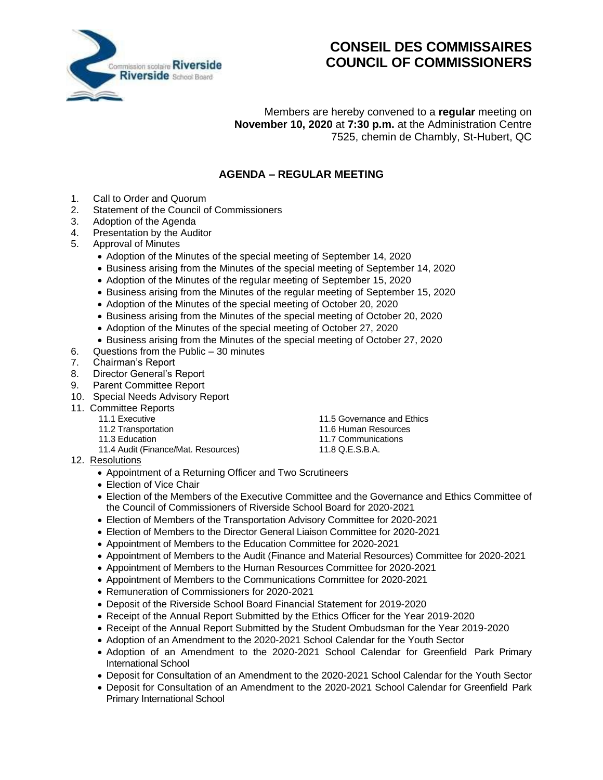

## **CONSEIL DES COMMISSAIRES COUNCIL OF COMMISSIONERS**

Members are hereby convened to a **regular** meeting on **November 10, 2020** at **7:30 p.m.** at the Administration Centre 7525, chemin de Chambly, St-Hubert, QC

## **AGENDA – REGULAR MEETING**

- 1. Call to Order and Quorum
- 2. Statement of the Council of Commissioners
- 3. Adoption of the Agenda
- 4. Presentation by the Auditor
- 5. Approval of Minutes
	- Adoption of the Minutes of the special meeting of September 14, 2020
	- Business arising from the Minutes of the special meeting of September 14, 2020
	- Adoption of the Minutes of the regular meeting of September 15, 2020
	- Business arising from the Minutes of the regular meeting of September 15, 2020
	- Adoption of the Minutes of the special meeting of October 20, 2020
	- Business arising from the Minutes of the special meeting of October 20, 2020
	- Adoption of the Minutes of the special meeting of October 27, 2020
	- Business arising from the Minutes of the special meeting of October 27, 2020
- 6. Questions from the Public 30 minutes
- 7. Chairman's Report<br>8. Director General's F
- Director General's Report
- 9. Parent Committee Report
- 10. Special Needs Advisory Report
- 11. Committee Reports
	-
	-
	-
	- 11.4 Audit (Finance/Mat. Resources) 11.8 Q.E.S.B.A.
- 12. Resolutions
	- Appointment of a Returning Officer and Two Scrutineers
	- Election of Vice Chair
	- Election of the Members of the Executive Committee and the Governance and Ethics Committee of the Council of Commissioners of Riverside School Board for 2020-2021
	- Election of Members of the Transportation Advisory Committee for 2020-2021
	- Election of Members to the Director General Liaison Committee for 2020-2021
	- Appointment of Members to the Education Committee for 2020-2021
	- Appointment of Members to the Audit (Finance and Material Resources) Committee for 2020-2021
	- Appointment of Members to the Human Resources Committee for 2020-2021
	- Appointment of Members to the Communications Committee for 2020-2021
	- Remuneration of Commissioners for 2020-2021
	- Deposit of the Riverside School Board Financial Statement for 2019-2020
	- Receipt of the Annual Report Submitted by the Ethics Officer for the Year 2019-2020
	- Receipt of the Annual Report Submitted by the Student Ombudsman for the Year 2019-2020
	- Adoption of an Amendment to the 2020-2021 School Calendar for the Youth Sector
	- Adoption of an Amendment to the 2020-2021 School Calendar for Greenfield Park Primary International School
	- Deposit for Consultation of an Amendment to the 2020-2021 School Calendar for the Youth Sector
	- Deposit for Consultation of an Amendment to the 2020-2021 School Calendar for Greenfield Park Primary International School
- 11.1 Executive 11.5 Governance and Ethics
- 11.2 Transportation 11.6 Human Resources
	-
	-
- 11.3 Education 11.7 Communications
	-
	-